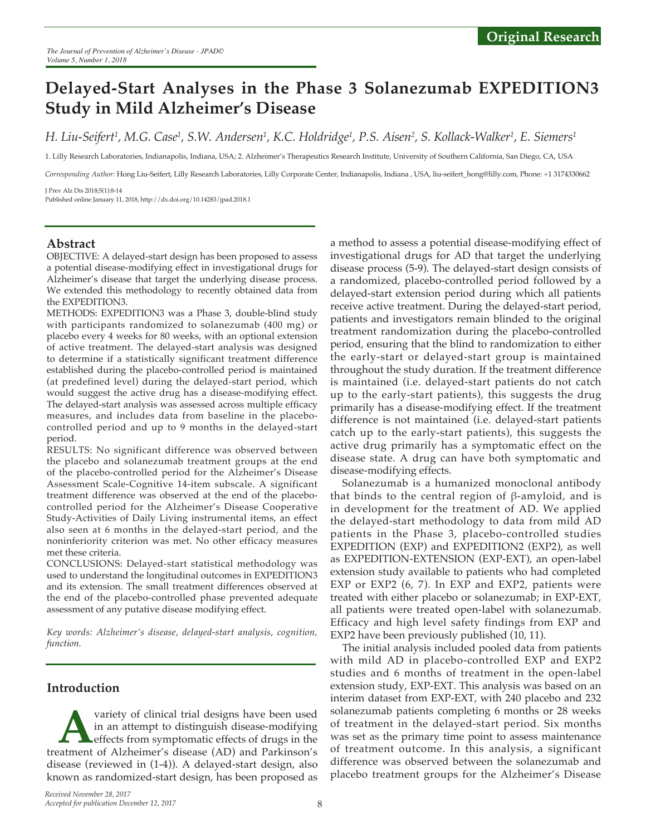# **Delayed-Start Analyses in the Phase 3 Solanezumab EXPEDITION3 Study in Mild Alzheimer's Disease**

*H. Liu-Seifert1 , M.G. Case1 , S.W. Andersen1 , K.C. Holdridge1 , P.S. Aisen2 , S. Kollack-Walker1 , E. Siemers1*

1. Lilly Research Laboratories, Indianapolis, Indiana, USA; 2. Alzheimer's Therapeutics Research Institute, University of Southern California, San Diego, CA, USA

*Corresponding Author:* Hong Liu-Seifert, Lilly Research Laboratories, Lilly Corporate Center, Indianapolis, Indiana , USA, liu-seifert\_hong@lilly.com, Phone: +1 3174330662

J Prev Alz Dis 2018;5(1):8-14 Published online January 11, 2018, http://dx.doi.org/10.14283/jpad.2018.1

# **Abstract**

OBJECTIVE: A delayed-start design has been proposed to assess a potential disease-modifying effect in investigational drugs for Alzheimer's disease that target the underlying disease process. We extended this methodology to recently obtained data from the EXPEDITION3.

METHODS: EXPEDITION3 was a Phase 3, double-blind study with participants randomized to solanezumab (400 mg) or placebo every 4 weeks for 80 weeks, with an optional extension of active treatment. The delayed-start analysis was designed to determine if a statistically significant treatment difference established during the placebo-controlled period is maintained (at predefined level) during the delayed-start period, which would suggest the active drug has a disease-modifying effect. The delayed-start analysis was assessed across multiple efficacy measures, and includes data from baseline in the placebocontrolled period and up to 9 months in the delayed-start period.

RESULTS: No significant difference was observed between the placebo and solanezumab treatment groups at the end of the placebo-controlled period for the Alzheimer's Disease Assessment Scale-Cognitive 14-item subscale. A significant treatment difference was observed at the end of the placebocontrolled period for the Alzheimer's Disease Cooperative Study-Activities of Daily Living instrumental items, an effect also seen at 6 months in the delayed-start period, and the noninferiority criterion was met. No other efficacy measures met these criteria.

CONCLUSIONS: Delayed-start statistical methodology was used to understand the longitudinal outcomes in EXPEDITION3 and its extension. The small treatment differences observed at the end of the placebo-controlled phase prevented adequate assessment of any putative disease modifying effect.

*Key words: Alzheimer's disease, delayed-start analysis, cognition, function.*

# **Introduction**

**A**variety of clinical trial designs have been used in an attempt to distinguish disease-modifying effects from symptomatic effects of drugs in the treatment of Alzheimer's disease (AD) and Parkinson's in an attempt to distinguish disease-modifying effects from symptomatic effects of drugs in the disease (reviewed in (1-4)). A delayed-start design, also known as randomized-start design, has been proposed as

a method to assess a potential disease-modifying effect of investigational drugs for AD that target the underlying disease process (5-9). The delayed-start design consists of a randomized, placebo-controlled period followed by a delayed-start extension period during which all patients receive active treatment. During the delayed-start period, patients and investigators remain blinded to the original treatment randomization during the placebo-controlled period, ensuring that the blind to randomization to either the early-start or delayed-start group is maintained throughout the study duration. If the treatment difference is maintained (i.e. delayed-start patients do not catch up to the early-start patients), this suggests the drug primarily has a disease-modifying effect. If the treatment difference is not maintained (i.e. delayed-start patients catch up to the early-start patients), this suggests the active drug primarily has a symptomatic effect on the disease state. A drug can have both symptomatic and disease-modifying effects.

Solanezumab is a humanized monoclonal antibody that binds to the central region of β-amyloid, and is in development for the treatment of AD. We applied the delayed-start methodology to data from mild AD patients in the Phase 3, placebo-controlled studies EXPEDITION (EXP) and EXPEDITION2 (EXP2), as well as EXPEDITION-EXTENSION (EXP-EXT), an open-label extension study available to patients who had completed EXP or EXP2 (6, 7). In EXP and EXP2, patients were treated with either placebo or solanezumab; in EXP-EXT, all patients were treated open-label with solanezumab. Efficacy and high level safety findings from EXP and EXP2 have been previously published (10, 11).

The initial analysis included pooled data from patients with mild AD in placebo-controlled EXP and EXP2 studies and 6 months of treatment in the open-label extension study, EXP-EXT. This analysis was based on an interim dataset from EXP-EXT, with 240 placebo and 232 solanezumab patients completing 6 months or 28 weeks of treatment in the delayed-start period. Six months was set as the primary time point to assess maintenance of treatment outcome. In this analysis, a significant difference was observed between the solanezumab and placebo treatment groups for the Alzheimer's Disease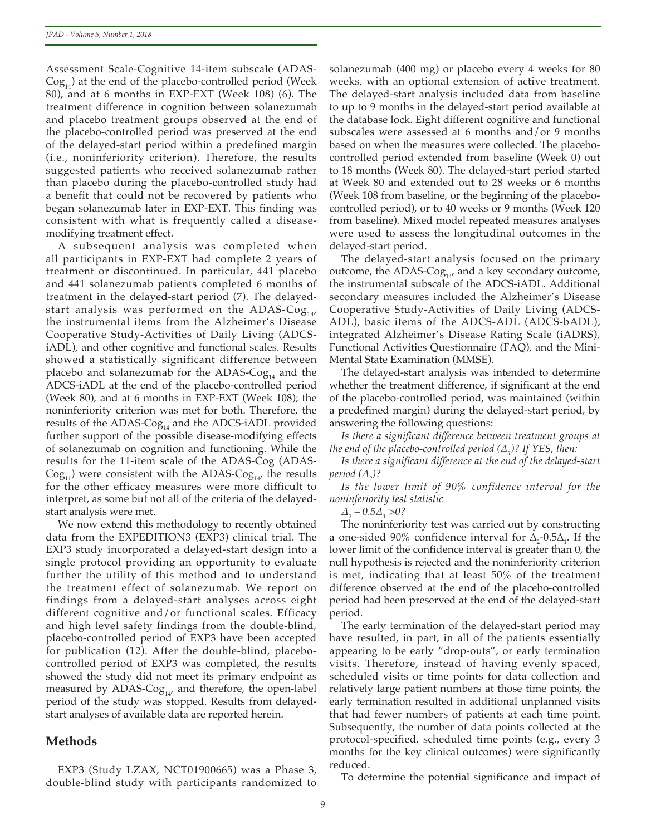Assessment Scale-Cognitive 14-item subscale (ADAS- $\text{Cog}_{14}$ ) at the end of the placebo-controlled period (Week 80), and at 6 months in EXP-EXT (Week 108) (6). The treatment difference in cognition between solanezumab and placebo treatment groups observed at the end of the placebo-controlled period was preserved at the end of the delayed-start period within a predefined margin (i.e., noninferiority criterion). Therefore, the results suggested patients who received solanezumab rather than placebo during the placebo-controlled study had a benefit that could not be recovered by patients who began solanezumab later in EXP-EXT. This finding was consistent with what is frequently called a diseasemodifying treatment effect.

A subsequent analysis was completed when all participants in EXP-EXT had complete 2 years of treatment or discontinued. In particular, 441 placebo and 441 solanezumab patients completed 6 months of treatment in the delayed-start period (7). The delayedstart analysis was performed on the ADAS-Co $g_{14}$ , the instrumental items from the Alzheimer's Disease Cooperative Study-Activities of Daily Living (ADCSiADL), and other cognitive and functional scales. Results showed a statistically significant difference between placebo and solanezumab for the ADAS- $\text{Cog}_{14}$  and the ADCS-iADL at the end of the placebo-controlled period (Week 80), and at 6 months in EXP-EXT (Week 108); the noninferiority criterion was met for both. Therefore, the results of the ADAS- $\text{Cog}_{14}$  and the ADCS-iADL provided further support of the possible disease-modifying effects of solanezumab on cognition and functioning. While the results for the 11-item scale of the ADAS-Cog (ADAS- $Cog_{11}$ ) were consistent with the ADAS- $Cog_{14}$ , the results for the other efficacy measures were more difficult to interpret, as some but not all of the criteria of the delayedstart analysis were met.

We now extend this methodology to recently obtained data from the EXPEDITION3 (EXP3) clinical trial. The EXP3 study incorporated a delayed-start design into a single protocol providing an opportunity to evaluate further the utility of this method and to understand the treatment effect of solanezumab. We report on findings from a delayed-start analyses across eight different cognitive and/or functional scales. Efficacy and high level safety findings from the double-blind, placebo-controlled period of EXP3 have been accepted for publication (12). After the double-blind, placebocontrolled period of EXP3 was completed, the results showed the study did not meet its primary endpoint as measured by ADAS- $\text{Cog}_{14'}$  and therefore, the open-label period of the study was stopped. Results from delayedstart analyses of available data are reported herein.

# **Methods**

EXP3 (Study LZAX, NCT01900665) was a Phase 3, double-blind study with participants randomized to solanezumab (400 mg) or placebo every 4 weeks for 80 weeks, with an optional extension of active treatment. The delayed-start analysis included data from baseline to up to 9 months in the delayed-start period available at the database lock. Eight different cognitive and functional subscales were assessed at 6 months and/or 9 months based on when the measures were collected. The placebocontrolled period extended from baseline (Week 0) out to 18 months (Week 80). The delayed-start period started at Week 80 and extended out to 28 weeks or 6 months (Week 108 from baseline, or the beginning of the placebocontrolled period), or to 40 weeks or 9 months (Week 120 from baseline). Mixed model repeated measures analyses were used to assess the longitudinal outcomes in the delayed-start period.

The delayed-start analysis focused on the primary outcome, the ADAS- $\text{Cog}_{14'}$  and a key secondary outcome, the instrumental subscale of the ADCS-iADL. Additional secondary measures included the Alzheimer's Disease Cooperative Study-Activities of Daily Living (ADCS-ADL), basic items of the ADCS-ADL (ADCS-bADL), integrated Alzheimer's Disease Rating Scale (iADRS), Functional Activities Questionnaire (FAQ), and the Mini-Mental State Examination (MMSE).

The delayed-start analysis was intended to determine whether the treatment difference, if significant at the end of the placebo-controlled period, was maintained (within a predefined margin) during the delayed-start period, by answering the following questions:

*Is there a significant difference between treatment groups at the end of the placebo-controlled period (Δ<sup>1</sup> )? If YES, then:*

*Is there a significant difference at the end of the delayed-start period (Δ<sup>2</sup> )?*

*Is the lower limit of 90% confidence interval for the noninferiority test statistic* 

*Δ2 – 0.5Δ<sup>1</sup> >0?*

The noninferiority test was carried out by constructing a one-sided 90% confidence interval for  $\Delta_2$ -0.5 $\Delta_1$ . If the lower limit of the confidence interval is greater than 0, the null hypothesis is rejected and the noninferiority criterion is met, indicating that at least 50% of the treatment difference observed at the end of the placebo-controlled period had been preserved at the end of the delayed-start period.

The early termination of the delayed-start period may have resulted, in part, in all of the patients essentially appearing to be early "drop-outs", or early termination visits. Therefore, instead of having evenly spaced, scheduled visits or time points for data collection and relatively large patient numbers at those time points, the early termination resulted in additional unplanned visits that had fewer numbers of patients at each time point. Subsequently, the number of data points collected at the protocol-specified, scheduled time points (e.g., every 3 months for the key clinical outcomes) were significantly reduced.

To determine the potential significance and impact of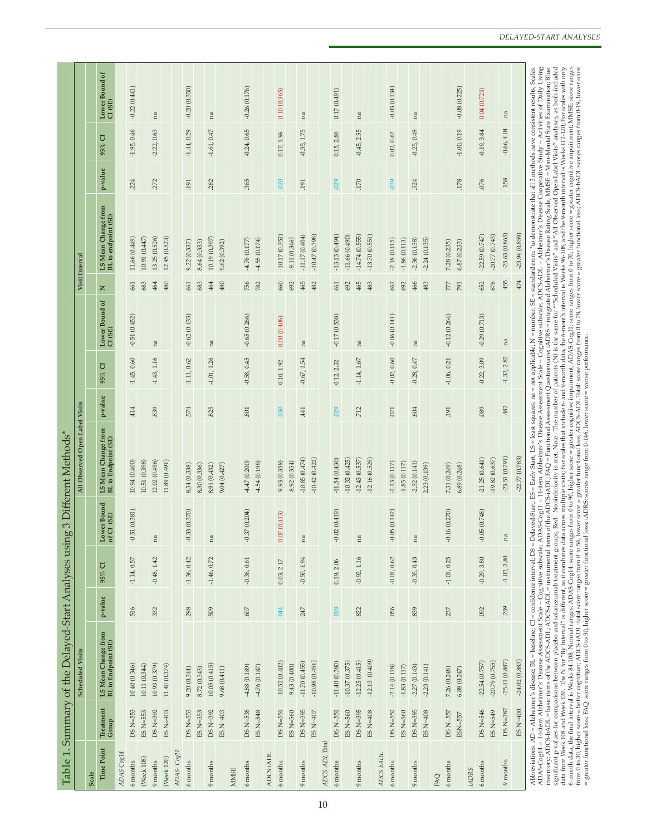| p-value<br>.158<br>029<br>.076<br>.224<br>272<br>.365<br>.020<br>.170<br>.039<br>524<br>.178<br>.282<br>.191<br>.191<br>LS Mean Change from<br>BL to endpoint (SE)<br>$-25.63(0.865)$<br>$-13.13(0.494)$<br>$-22.59(0.747)$<br>$-20.77(0.743)$<br>$-11.66(0.490)$<br>$-14.74(0.555)$<br>$-10.17(0.352)$<br>$-11.17(0.404)$<br>$-10.47(0.398)$<br>$-13.70(0.551)$<br>10.91 (0.447)<br>13.25 (0.526)<br>12.45 (0.523)<br>11.66 (0.449)<br>10.19 (0.397)<br>4.55(0.174)<br>$-9.11(0.346)$<br>$-4.76(0.177)$<br>$-2.18(0.115)$<br>$-2.24(0.135)$<br>$-1.86(0.113)$<br>$-2.36(0.138)$<br>9.22(0.337)<br>8.64 (0.333)<br>9.62 (0.392)<br>7.28 (0.235)<br>6.87(0.233)<br>455<br>683<br>$480$<br>683<br>480<br>756<br>660<br>465<br>482<br>465<br>466<br>652<br>678<br>464<br>661<br>464<br>782<br>692<br>661<br>692<br>483<br>662<br>692<br>483<br>791<br>661<br>777<br>$\mathbf{z}$<br>Lower Bound of<br>$-0.62(0.435)$<br>$-0.65(0.266)$<br>$-0.17(0.538)$<br>$-0.06(0.141)$<br>$-0.12(0.264)$<br>$-0.29(0.713)$<br>$-0.51(0.452)$<br>0.00(0.406)<br>$CI$ (SE)<br>na<br>na<br>na<br>na<br>na<br>na<br>$-1.33, 2.82$<br>$-1.45, 0.60$<br>$-0.22, 3.09$<br>$-1.11, 0.62$<br>$-0.58, 0.45$<br>$-0.02, 0.60$<br>$-1.43, 1.16$<br>$-1.01, 1.26$<br>$-0.28, 0.47$<br>$-1.06, 0.21$<br>$-0.67, 1.54$<br>$-1.14, 1.67$<br>0.10, 1.92<br>0.12, 2.32<br>$95\%$ CI<br>p-value<br>.482<br>030<br>029<br>414<br>839<br>574<br>.825<br>.712<br>.604<br>089<br>.801<br>441<br>$.071\,$<br>.191<br>LS Mean Change from<br><b>BL</b> to Endpoint (SE)<br>$-23.51(0.791)$<br>$-21.25(0.641)$<br>$-10.85(0.474)$<br>$-11.54(0.430)$<br>$-10.32(0.425)$<br>$-12.43(0.537)$<br>$-12.16(0.529)$<br>$-19.82(0.637)$<br>$-10.42(0.422)$<br>10.94 (0.400)<br>12.02 (0.496)<br>10.51 (0.398)<br>11.89 (0.491)<br>$-9.93(0.358)$<br>$-8.92(0.354)$<br>$-2.32(0.141)$<br>$-4.47(0.200)$<br>$-4.54(0.198)$<br>$-2.13(0.117)$<br>$-1.85(0.117)$<br>8.54 (0.338)<br>8.30 (0.336)<br>8.91 (0.432)<br>7.31 (0.249)<br>2.23 (0.139)<br>6.89(0.248)<br>9.04 (0.427)<br>Lower Bound<br>$-0.51(0.381)$<br>$-0.33(0.370)$<br>6(0.270)<br>$-0.37(0.204)$<br>(614.02)(0.419)<br>$-0.05(0.142)$<br>$-0.05(0.748)$<br>(0.413)<br>of CI (SE)<br>0.07<br>$-0.1$<br>$\mathop{\rm na}\nolimits$<br>na<br>na<br>na<br>na<br>$_{\rm na}$<br>$-1.02, 3.80$<br>$-1.36, 0.42$<br>$-0.92, 1.16$<br>$-0.01, 0.62$<br>$-0.29, 3.80$<br>$-1.14, 0.57$<br>$-1.46, 0.72$<br>$-0.35, 0.43$<br>$-1.01, 0.25$<br>$-0.48, 1.42$<br>$-0.36, 0.61$<br>$-0.50, 1.94$<br>0.19, 2.06<br>0.03, 2.17<br>U<br>$95\%$<br>p-value<br>.259<br>.516<br>.018<br>.298<br>509<br>.056<br>.839<br>.092<br>.332<br>$.607$<br>.044<br>.247<br>.822<br>.237<br>LS Mean Change from<br>BL to Endpoint (SE)<br><b>Scheduled Visits</b><br>$-25.41(0.887)$<br>$-12.13(0.409)$<br>$-22.54(0.757)$<br>$-10.98(0.451)$<br>$-10.37(0.375)$<br>$-12.25(0.415)$<br>$-20.79(0.755)$<br>$-10.52(0.402)$<br>$-11.40(0.380)$<br>$-11.70(0.455)$<br>10.40 (0.346)<br>10.11 (0.344)<br>10.93 (0.379)<br>11.40(0.374)<br>10.05(0.415)<br>$-9.43(0.400)$<br>$-2.23(0.141)$<br>$-4.88(0.189)$<br>$-4.76(0.187)$<br>$-2.14(0.118)$<br>$-1.83(0.117)$<br>$-2.27(0.143)$<br>9.20(0.344)<br>8.72 (0.343)<br>9.68(0.411)<br>7.26 (0.248)<br>6.88(0.247)<br>DS N=387<br>Treatment<br>$DS$ $N = 553$<br>DS N=546<br>DS N=553<br>DS N=392<br>DS N=392<br>DS N=538<br>DS N=395<br>DS N=395<br>DS N=552<br>DS N=395<br>DS N=557<br>ES N=553<br>ES $N=403$<br>ES N=553<br>ES $N=403$<br>ES N=548<br>DS N=551<br>ES N=560<br>ES N=407<br>$DS N = 551$<br>ES N=560<br>ES N=560<br>ES N=408<br>ES N=549<br>ES N= $408$<br>$ESN = 557$<br>Group<br>ADCS ADL Total<br><b>Time Point</b><br>ADAS-Cog11<br>ADAS Cog14<br>ADCS iADL<br>ADCS bADL<br>(Week 120)<br>(Week 108)<br>$9$ months<br>9 months<br>6 months<br>$6$ months<br>6 months<br>6 months<br>9 months<br>6 months<br>$6$ months<br>9 months<br>9 months<br>9 months<br>6 months<br>6 months<br>iADRS<br><b>MMSE</b><br>Scale<br>EAQ |          |                 |  | All Observed Open Label Visits |  | Visit Interval |                 |               |                             |
|--------------------------------------------------------------------------------------------------------------------------------------------------------------------------------------------------------------------------------------------------------------------------------------------------------------------------------------------------------------------------------------------------------------------------------------------------------------------------------------------------------------------------------------------------------------------------------------------------------------------------------------------------------------------------------------------------------------------------------------------------------------------------------------------------------------------------------------------------------------------------------------------------------------------------------------------------------------------------------------------------------------------------------------------------------------------------------------------------------------------------------------------------------------------------------------------------------------------------------------------------------------------------------------------------------------------------------------------------------------------------------------------------------------------------------------------------------------------------------------------------------------------------------------------------------------------------------------------------------------------------------------------------------------------------------------------------------------------------------------------------------------------------------------------------------------------------------------------------------------------------------------------------------------------------------------------------------------------------------------------------------------------------------------------------------------------------------------------------------------------------------------------------------------------------------------------------------------------------------------------------------------------------------------------------------------------------------------------------------------------------------------------------------------------------------------------------------------------------------------------------------------------------------------------------------------------------------------------------------------------------------------------------------------------------------------------------------------------------------------------------------------------------------------------------------------------------------------------------------------------------------------------------------------------------------------------------------------------------------------------------------------------------------------------------------------------------------------------------------------------------------------------------------------------------------------------------------------------------------------------------------------------------------------------------------------------------------------------------------------------------------------------------------------------------------------------------------------------------------------------------------------------------------------------------------------------------------------------------------------------------------------------------------------------------------------------------------------------------------------------------------------------------------------------------------------------------------------------------------------------------------------------------------------------------------------------------------------------------|----------|-----------------|--|--------------------------------|--|----------------|-----------------|---------------|-----------------------------|
|                                                                                                                                                                                                                                                                                                                                                                                                                                                                                                                                                                                                                                                                                                                                                                                                                                                                                                                                                                                                                                                                                                                                                                                                                                                                                                                                                                                                                                                                                                                                                                                                                                                                                                                                                                                                                                                                                                                                                                                                                                                                                                                                                                                                                                                                                                                                                                                                                                                                                                                                                                                                                                                                                                                                                                                                                                                                                                                                                                                                                                                                                                                                                                                                                                                                                                                                                                                                                                                                                                                                                                                                                                                                                                                                                                                                                                                                                                                                                                          |          |                 |  |                                |  |                |                 |               |                             |
|                                                                                                                                                                                                                                                                                                                                                                                                                                                                                                                                                                                                                                                                                                                                                                                                                                                                                                                                                                                                                                                                                                                                                                                                                                                                                                                                                                                                                                                                                                                                                                                                                                                                                                                                                                                                                                                                                                                                                                                                                                                                                                                                                                                                                                                                                                                                                                                                                                                                                                                                                                                                                                                                                                                                                                                                                                                                                                                                                                                                                                                                                                                                                                                                                                                                                                                                                                                                                                                                                                                                                                                                                                                                                                                                                                                                                                                                                                                                                                          |          |                 |  |                                |  |                |                 | 95% CI        | Lower Bound of<br>$CI$ (SE) |
|                                                                                                                                                                                                                                                                                                                                                                                                                                                                                                                                                                                                                                                                                                                                                                                                                                                                                                                                                                                                                                                                                                                                                                                                                                                                                                                                                                                                                                                                                                                                                                                                                                                                                                                                                                                                                                                                                                                                                                                                                                                                                                                                                                                                                                                                                                                                                                                                                                                                                                                                                                                                                                                                                                                                                                                                                                                                                                                                                                                                                                                                                                                                                                                                                                                                                                                                                                                                                                                                                                                                                                                                                                                                                                                                                                                                                                                                                                                                                                          |          |                 |  |                                |  |                |                 |               |                             |
|                                                                                                                                                                                                                                                                                                                                                                                                                                                                                                                                                                                                                                                                                                                                                                                                                                                                                                                                                                                                                                                                                                                                                                                                                                                                                                                                                                                                                                                                                                                                                                                                                                                                                                                                                                                                                                                                                                                                                                                                                                                                                                                                                                                                                                                                                                                                                                                                                                                                                                                                                                                                                                                                                                                                                                                                                                                                                                                                                                                                                                                                                                                                                                                                                                                                                                                                                                                                                                                                                                                                                                                                                                                                                                                                                                                                                                                                                                                                                                          |          |                 |  |                                |  |                |                 | $-1.95, 0.46$ | $-0.22(0.441)$              |
|                                                                                                                                                                                                                                                                                                                                                                                                                                                                                                                                                                                                                                                                                                                                                                                                                                                                                                                                                                                                                                                                                                                                                                                                                                                                                                                                                                                                                                                                                                                                                                                                                                                                                                                                                                                                                                                                                                                                                                                                                                                                                                                                                                                                                                                                                                                                                                                                                                                                                                                                                                                                                                                                                                                                                                                                                                                                                                                                                                                                                                                                                                                                                                                                                                                                                                                                                                                                                                                                                                                                                                                                                                                                                                                                                                                                                                                                                                                                                                          |          |                 |  |                                |  |                |                 |               |                             |
|                                                                                                                                                                                                                                                                                                                                                                                                                                                                                                                                                                                                                                                                                                                                                                                                                                                                                                                                                                                                                                                                                                                                                                                                                                                                                                                                                                                                                                                                                                                                                                                                                                                                                                                                                                                                                                                                                                                                                                                                                                                                                                                                                                                                                                                                                                                                                                                                                                                                                                                                                                                                                                                                                                                                                                                                                                                                                                                                                                                                                                                                                                                                                                                                                                                                                                                                                                                                                                                                                                                                                                                                                                                                                                                                                                                                                                                                                                                                                                          |          |                 |  |                                |  |                |                 | $-2.22, 0.63$ | na                          |
|                                                                                                                                                                                                                                                                                                                                                                                                                                                                                                                                                                                                                                                                                                                                                                                                                                                                                                                                                                                                                                                                                                                                                                                                                                                                                                                                                                                                                                                                                                                                                                                                                                                                                                                                                                                                                                                                                                                                                                                                                                                                                                                                                                                                                                                                                                                                                                                                                                                                                                                                                                                                                                                                                                                                                                                                                                                                                                                                                                                                                                                                                                                                                                                                                                                                                                                                                                                                                                                                                                                                                                                                                                                                                                                                                                                                                                                                                                                                                                          |          |                 |  |                                |  |                |                 |               |                             |
|                                                                                                                                                                                                                                                                                                                                                                                                                                                                                                                                                                                                                                                                                                                                                                                                                                                                                                                                                                                                                                                                                                                                                                                                                                                                                                                                                                                                                                                                                                                                                                                                                                                                                                                                                                                                                                                                                                                                                                                                                                                                                                                                                                                                                                                                                                                                                                                                                                                                                                                                                                                                                                                                                                                                                                                                                                                                                                                                                                                                                                                                                                                                                                                                                                                                                                                                                                                                                                                                                                                                                                                                                                                                                                                                                                                                                                                                                                                                                                          |          |                 |  |                                |  |                |                 |               |                             |
|                                                                                                                                                                                                                                                                                                                                                                                                                                                                                                                                                                                                                                                                                                                                                                                                                                                                                                                                                                                                                                                                                                                                                                                                                                                                                                                                                                                                                                                                                                                                                                                                                                                                                                                                                                                                                                                                                                                                                                                                                                                                                                                                                                                                                                                                                                                                                                                                                                                                                                                                                                                                                                                                                                                                                                                                                                                                                                                                                                                                                                                                                                                                                                                                                                                                                                                                                                                                                                                                                                                                                                                                                                                                                                                                                                                                                                                                                                                                                                          |          |                 |  |                                |  |                |                 | $-1.44, 0.29$ | $-0.20(0.350)$              |
|                                                                                                                                                                                                                                                                                                                                                                                                                                                                                                                                                                                                                                                                                                                                                                                                                                                                                                                                                                                                                                                                                                                                                                                                                                                                                                                                                                                                                                                                                                                                                                                                                                                                                                                                                                                                                                                                                                                                                                                                                                                                                                                                                                                                                                                                                                                                                                                                                                                                                                                                                                                                                                                                                                                                                                                                                                                                                                                                                                                                                                                                                                                                                                                                                                                                                                                                                                                                                                                                                                                                                                                                                                                                                                                                                                                                                                                                                                                                                                          |          |                 |  |                                |  |                |                 |               |                             |
|                                                                                                                                                                                                                                                                                                                                                                                                                                                                                                                                                                                                                                                                                                                                                                                                                                                                                                                                                                                                                                                                                                                                                                                                                                                                                                                                                                                                                                                                                                                                                                                                                                                                                                                                                                                                                                                                                                                                                                                                                                                                                                                                                                                                                                                                                                                                                                                                                                                                                                                                                                                                                                                                                                                                                                                                                                                                                                                                                                                                                                                                                                                                                                                                                                                                                                                                                                                                                                                                                                                                                                                                                                                                                                                                                                                                                                                                                                                                                                          |          |                 |  |                                |  |                |                 | $-1.61, 0.47$ | $\mathop{\rm na}\nolimits$  |
|                                                                                                                                                                                                                                                                                                                                                                                                                                                                                                                                                                                                                                                                                                                                                                                                                                                                                                                                                                                                                                                                                                                                                                                                                                                                                                                                                                                                                                                                                                                                                                                                                                                                                                                                                                                                                                                                                                                                                                                                                                                                                                                                                                                                                                                                                                                                                                                                                                                                                                                                                                                                                                                                                                                                                                                                                                                                                                                                                                                                                                                                                                                                                                                                                                                                                                                                                                                                                                                                                                                                                                                                                                                                                                                                                                                                                                                                                                                                                                          |          |                 |  |                                |  |                |                 |               |                             |
|                                                                                                                                                                                                                                                                                                                                                                                                                                                                                                                                                                                                                                                                                                                                                                                                                                                                                                                                                                                                                                                                                                                                                                                                                                                                                                                                                                                                                                                                                                                                                                                                                                                                                                                                                                                                                                                                                                                                                                                                                                                                                                                                                                                                                                                                                                                                                                                                                                                                                                                                                                                                                                                                                                                                                                                                                                                                                                                                                                                                                                                                                                                                                                                                                                                                                                                                                                                                                                                                                                                                                                                                                                                                                                                                                                                                                                                                                                                                                                          |          |                 |  |                                |  |                |                 |               |                             |
|                                                                                                                                                                                                                                                                                                                                                                                                                                                                                                                                                                                                                                                                                                                                                                                                                                                                                                                                                                                                                                                                                                                                                                                                                                                                                                                                                                                                                                                                                                                                                                                                                                                                                                                                                                                                                                                                                                                                                                                                                                                                                                                                                                                                                                                                                                                                                                                                                                                                                                                                                                                                                                                                                                                                                                                                                                                                                                                                                                                                                                                                                                                                                                                                                                                                                                                                                                                                                                                                                                                                                                                                                                                                                                                                                                                                                                                                                                                                                                          |          |                 |  |                                |  |                |                 | $-0.24, 0.65$ | $-0.26(0.176)$              |
|                                                                                                                                                                                                                                                                                                                                                                                                                                                                                                                                                                                                                                                                                                                                                                                                                                                                                                                                                                                                                                                                                                                                                                                                                                                                                                                                                                                                                                                                                                                                                                                                                                                                                                                                                                                                                                                                                                                                                                                                                                                                                                                                                                                                                                                                                                                                                                                                                                                                                                                                                                                                                                                                                                                                                                                                                                                                                                                                                                                                                                                                                                                                                                                                                                                                                                                                                                                                                                                                                                                                                                                                                                                                                                                                                                                                                                                                                                                                                                          |          |                 |  |                                |  |                |                 |               |                             |
|                                                                                                                                                                                                                                                                                                                                                                                                                                                                                                                                                                                                                                                                                                                                                                                                                                                                                                                                                                                                                                                                                                                                                                                                                                                                                                                                                                                                                                                                                                                                                                                                                                                                                                                                                                                                                                                                                                                                                                                                                                                                                                                                                                                                                                                                                                                                                                                                                                                                                                                                                                                                                                                                                                                                                                                                                                                                                                                                                                                                                                                                                                                                                                                                                                                                                                                                                                                                                                                                                                                                                                                                                                                                                                                                                                                                                                                                                                                                                                          |          |                 |  |                                |  |                |                 |               |                             |
|                                                                                                                                                                                                                                                                                                                                                                                                                                                                                                                                                                                                                                                                                                                                                                                                                                                                                                                                                                                                                                                                                                                                                                                                                                                                                                                                                                                                                                                                                                                                                                                                                                                                                                                                                                                                                                                                                                                                                                                                                                                                                                                                                                                                                                                                                                                                                                                                                                                                                                                                                                                                                                                                                                                                                                                                                                                                                                                                                                                                                                                                                                                                                                                                                                                                                                                                                                                                                                                                                                                                                                                                                                                                                                                                                                                                                                                                                                                                                                          |          |                 |  |                                |  |                |                 | 0.17, 1.96    | 0.10(0.365)                 |
|                                                                                                                                                                                                                                                                                                                                                                                                                                                                                                                                                                                                                                                                                                                                                                                                                                                                                                                                                                                                                                                                                                                                                                                                                                                                                                                                                                                                                                                                                                                                                                                                                                                                                                                                                                                                                                                                                                                                                                                                                                                                                                                                                                                                                                                                                                                                                                                                                                                                                                                                                                                                                                                                                                                                                                                                                                                                                                                                                                                                                                                                                                                                                                                                                                                                                                                                                                                                                                                                                                                                                                                                                                                                                                                                                                                                                                                                                                                                                                          |          |                 |  |                                |  |                |                 |               |                             |
|                                                                                                                                                                                                                                                                                                                                                                                                                                                                                                                                                                                                                                                                                                                                                                                                                                                                                                                                                                                                                                                                                                                                                                                                                                                                                                                                                                                                                                                                                                                                                                                                                                                                                                                                                                                                                                                                                                                                                                                                                                                                                                                                                                                                                                                                                                                                                                                                                                                                                                                                                                                                                                                                                                                                                                                                                                                                                                                                                                                                                                                                                                                                                                                                                                                                                                                                                                                                                                                                                                                                                                                                                                                                                                                                                                                                                                                                                                                                                                          |          |                 |  |                                |  |                |                 | $-0.35, 1.75$ | na                          |
|                                                                                                                                                                                                                                                                                                                                                                                                                                                                                                                                                                                                                                                                                                                                                                                                                                                                                                                                                                                                                                                                                                                                                                                                                                                                                                                                                                                                                                                                                                                                                                                                                                                                                                                                                                                                                                                                                                                                                                                                                                                                                                                                                                                                                                                                                                                                                                                                                                                                                                                                                                                                                                                                                                                                                                                                                                                                                                                                                                                                                                                                                                                                                                                                                                                                                                                                                                                                                                                                                                                                                                                                                                                                                                                                                                                                                                                                                                                                                                          |          |                 |  |                                |  |                |                 |               |                             |
|                                                                                                                                                                                                                                                                                                                                                                                                                                                                                                                                                                                                                                                                                                                                                                                                                                                                                                                                                                                                                                                                                                                                                                                                                                                                                                                                                                                                                                                                                                                                                                                                                                                                                                                                                                                                                                                                                                                                                                                                                                                                                                                                                                                                                                                                                                                                                                                                                                                                                                                                                                                                                                                                                                                                                                                                                                                                                                                                                                                                                                                                                                                                                                                                                                                                                                                                                                                                                                                                                                                                                                                                                                                                                                                                                                                                                                                                                                                                                                          |          |                 |  |                                |  |                |                 |               |                             |
|                                                                                                                                                                                                                                                                                                                                                                                                                                                                                                                                                                                                                                                                                                                                                                                                                                                                                                                                                                                                                                                                                                                                                                                                                                                                                                                                                                                                                                                                                                                                                                                                                                                                                                                                                                                                                                                                                                                                                                                                                                                                                                                                                                                                                                                                                                                                                                                                                                                                                                                                                                                                                                                                                                                                                                                                                                                                                                                                                                                                                                                                                                                                                                                                                                                                                                                                                                                                                                                                                                                                                                                                                                                                                                                                                                                                                                                                                                                                                                          |          |                 |  |                                |  |                |                 | 0.15, 2.80    | 0.17(0.491)                 |
|                                                                                                                                                                                                                                                                                                                                                                                                                                                                                                                                                                                                                                                                                                                                                                                                                                                                                                                                                                                                                                                                                                                                                                                                                                                                                                                                                                                                                                                                                                                                                                                                                                                                                                                                                                                                                                                                                                                                                                                                                                                                                                                                                                                                                                                                                                                                                                                                                                                                                                                                                                                                                                                                                                                                                                                                                                                                                                                                                                                                                                                                                                                                                                                                                                                                                                                                                                                                                                                                                                                                                                                                                                                                                                                                                                                                                                                                                                                                                                          |          |                 |  |                                |  |                |                 |               |                             |
|                                                                                                                                                                                                                                                                                                                                                                                                                                                                                                                                                                                                                                                                                                                                                                                                                                                                                                                                                                                                                                                                                                                                                                                                                                                                                                                                                                                                                                                                                                                                                                                                                                                                                                                                                                                                                                                                                                                                                                                                                                                                                                                                                                                                                                                                                                                                                                                                                                                                                                                                                                                                                                                                                                                                                                                                                                                                                                                                                                                                                                                                                                                                                                                                                                                                                                                                                                                                                                                                                                                                                                                                                                                                                                                                                                                                                                                                                                                                                                          |          |                 |  |                                |  |                |                 | $-0.45, 2.55$ | na                          |
|                                                                                                                                                                                                                                                                                                                                                                                                                                                                                                                                                                                                                                                                                                                                                                                                                                                                                                                                                                                                                                                                                                                                                                                                                                                                                                                                                                                                                                                                                                                                                                                                                                                                                                                                                                                                                                                                                                                                                                                                                                                                                                                                                                                                                                                                                                                                                                                                                                                                                                                                                                                                                                                                                                                                                                                                                                                                                                                                                                                                                                                                                                                                                                                                                                                                                                                                                                                                                                                                                                                                                                                                                                                                                                                                                                                                                                                                                                                                                                          |          |                 |  |                                |  |                |                 |               |                             |
|                                                                                                                                                                                                                                                                                                                                                                                                                                                                                                                                                                                                                                                                                                                                                                                                                                                                                                                                                                                                                                                                                                                                                                                                                                                                                                                                                                                                                                                                                                                                                                                                                                                                                                                                                                                                                                                                                                                                                                                                                                                                                                                                                                                                                                                                                                                                                                                                                                                                                                                                                                                                                                                                                                                                                                                                                                                                                                                                                                                                                                                                                                                                                                                                                                                                                                                                                                                                                                                                                                                                                                                                                                                                                                                                                                                                                                                                                                                                                                          |          |                 |  |                                |  |                |                 |               |                             |
|                                                                                                                                                                                                                                                                                                                                                                                                                                                                                                                                                                                                                                                                                                                                                                                                                                                                                                                                                                                                                                                                                                                                                                                                                                                                                                                                                                                                                                                                                                                                                                                                                                                                                                                                                                                                                                                                                                                                                                                                                                                                                                                                                                                                                                                                                                                                                                                                                                                                                                                                                                                                                                                                                                                                                                                                                                                                                                                                                                                                                                                                                                                                                                                                                                                                                                                                                                                                                                                                                                                                                                                                                                                                                                                                                                                                                                                                                                                                                                          |          |                 |  |                                |  |                |                 | 0.02, 0.62    | $-0.03(0.134)$              |
|                                                                                                                                                                                                                                                                                                                                                                                                                                                                                                                                                                                                                                                                                                                                                                                                                                                                                                                                                                                                                                                                                                                                                                                                                                                                                                                                                                                                                                                                                                                                                                                                                                                                                                                                                                                                                                                                                                                                                                                                                                                                                                                                                                                                                                                                                                                                                                                                                                                                                                                                                                                                                                                                                                                                                                                                                                                                                                                                                                                                                                                                                                                                                                                                                                                                                                                                                                                                                                                                                                                                                                                                                                                                                                                                                                                                                                                                                                                                                                          |          |                 |  |                                |  |                |                 |               |                             |
|                                                                                                                                                                                                                                                                                                                                                                                                                                                                                                                                                                                                                                                                                                                                                                                                                                                                                                                                                                                                                                                                                                                                                                                                                                                                                                                                                                                                                                                                                                                                                                                                                                                                                                                                                                                                                                                                                                                                                                                                                                                                                                                                                                                                                                                                                                                                                                                                                                                                                                                                                                                                                                                                                                                                                                                                                                                                                                                                                                                                                                                                                                                                                                                                                                                                                                                                                                                                                                                                                                                                                                                                                                                                                                                                                                                                                                                                                                                                                                          |          |                 |  |                                |  |                |                 | $-0.25, 0.49$ | na                          |
|                                                                                                                                                                                                                                                                                                                                                                                                                                                                                                                                                                                                                                                                                                                                                                                                                                                                                                                                                                                                                                                                                                                                                                                                                                                                                                                                                                                                                                                                                                                                                                                                                                                                                                                                                                                                                                                                                                                                                                                                                                                                                                                                                                                                                                                                                                                                                                                                                                                                                                                                                                                                                                                                                                                                                                                                                                                                                                                                                                                                                                                                                                                                                                                                                                                                                                                                                                                                                                                                                                                                                                                                                                                                                                                                                                                                                                                                                                                                                                          |          |                 |  |                                |  |                |                 |               |                             |
|                                                                                                                                                                                                                                                                                                                                                                                                                                                                                                                                                                                                                                                                                                                                                                                                                                                                                                                                                                                                                                                                                                                                                                                                                                                                                                                                                                                                                                                                                                                                                                                                                                                                                                                                                                                                                                                                                                                                                                                                                                                                                                                                                                                                                                                                                                                                                                                                                                                                                                                                                                                                                                                                                                                                                                                                                                                                                                                                                                                                                                                                                                                                                                                                                                                                                                                                                                                                                                                                                                                                                                                                                                                                                                                                                                                                                                                                                                                                                                          |          |                 |  |                                |  |                |                 |               |                             |
|                                                                                                                                                                                                                                                                                                                                                                                                                                                                                                                                                                                                                                                                                                                                                                                                                                                                                                                                                                                                                                                                                                                                                                                                                                                                                                                                                                                                                                                                                                                                                                                                                                                                                                                                                                                                                                                                                                                                                                                                                                                                                                                                                                                                                                                                                                                                                                                                                                                                                                                                                                                                                                                                                                                                                                                                                                                                                                                                                                                                                                                                                                                                                                                                                                                                                                                                                                                                                                                                                                                                                                                                                                                                                                                                                                                                                                                                                                                                                                          |          |                 |  |                                |  |                |                 |               |                             |
|                                                                                                                                                                                                                                                                                                                                                                                                                                                                                                                                                                                                                                                                                                                                                                                                                                                                                                                                                                                                                                                                                                                                                                                                                                                                                                                                                                                                                                                                                                                                                                                                                                                                                                                                                                                                                                                                                                                                                                                                                                                                                                                                                                                                                                                                                                                                                                                                                                                                                                                                                                                                                                                                                                                                                                                                                                                                                                                                                                                                                                                                                                                                                                                                                                                                                                                                                                                                                                                                                                                                                                                                                                                                                                                                                                                                                                                                                                                                                                          |          |                 |  |                                |  |                |                 | $-1.00, 0.19$ | $-0.08(0.225)$              |
|                                                                                                                                                                                                                                                                                                                                                                                                                                                                                                                                                                                                                                                                                                                                                                                                                                                                                                                                                                                                                                                                                                                                                                                                                                                                                                                                                                                                                                                                                                                                                                                                                                                                                                                                                                                                                                                                                                                                                                                                                                                                                                                                                                                                                                                                                                                                                                                                                                                                                                                                                                                                                                                                                                                                                                                                                                                                                                                                                                                                                                                                                                                                                                                                                                                                                                                                                                                                                                                                                                                                                                                                                                                                                                                                                                                                                                                                                                                                                                          |          |                 |  |                                |  |                |                 |               |                             |
|                                                                                                                                                                                                                                                                                                                                                                                                                                                                                                                                                                                                                                                                                                                                                                                                                                                                                                                                                                                                                                                                                                                                                                                                                                                                                                                                                                                                                                                                                                                                                                                                                                                                                                                                                                                                                                                                                                                                                                                                                                                                                                                                                                                                                                                                                                                                                                                                                                                                                                                                                                                                                                                                                                                                                                                                                                                                                                                                                                                                                                                                                                                                                                                                                                                                                                                                                                                                                                                                                                                                                                                                                                                                                                                                                                                                                                                                                                                                                                          |          |                 |  |                                |  |                |                 | $-0.19, 3.84$ | 0.04(0.723)                 |
|                                                                                                                                                                                                                                                                                                                                                                                                                                                                                                                                                                                                                                                                                                                                                                                                                                                                                                                                                                                                                                                                                                                                                                                                                                                                                                                                                                                                                                                                                                                                                                                                                                                                                                                                                                                                                                                                                                                                                                                                                                                                                                                                                                                                                                                                                                                                                                                                                                                                                                                                                                                                                                                                                                                                                                                                                                                                                                                                                                                                                                                                                                                                                                                                                                                                                                                                                                                                                                                                                                                                                                                                                                                                                                                                                                                                                                                                                                                                                                          |          |                 |  |                                |  |                |                 |               |                             |
|                                                                                                                                                                                                                                                                                                                                                                                                                                                                                                                                                                                                                                                                                                                                                                                                                                                                                                                                                                                                                                                                                                                                                                                                                                                                                                                                                                                                                                                                                                                                                                                                                                                                                                                                                                                                                                                                                                                                                                                                                                                                                                                                                                                                                                                                                                                                                                                                                                                                                                                                                                                                                                                                                                                                                                                                                                                                                                                                                                                                                                                                                                                                                                                                                                                                                                                                                                                                                                                                                                                                                                                                                                                                                                                                                                                                                                                                                                                                                                          |          |                 |  |                                |  |                |                 | $-0.66, 4.04$ | na                          |
|                                                                                                                                                                                                                                                                                                                                                                                                                                                                                                                                                                                                                                                                                                                                                                                                                                                                                                                                                                                                                                                                                                                                                                                                                                                                                                                                                                                                                                                                                                                                                                                                                                                                                                                                                                                                                                                                                                                                                                                                                                                                                                                                                                                                                                                                                                                                                                                                                                                                                                                                                                                                                                                                                                                                                                                                                                                                                                                                                                                                                                                                                                                                                                                                                                                                                                                                                                                                                                                                                                                                                                                                                                                                                                                                                                                                                                                                                                                                                                          | ES N=400 | $-24.02(0.883)$ |  | $-22.77(0.783)$                |  | 474            | $-23.94(0.859)$ |               |                             |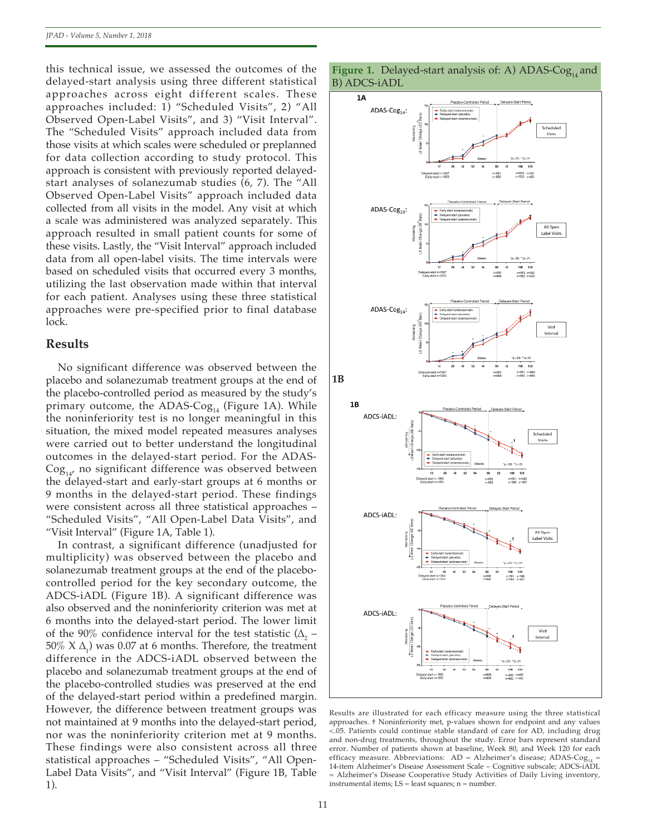this technical issue, we assessed the outcomes of the delayed-start analysis using three different statistical approaches across eight different scales. These approaches included: 1) "Scheduled Visits", 2) "All Observed Open-Label Visits", and 3) "Visit Interval". The "Scheduled Visits" approach included data from those visits at which scales were scheduled or preplanned for data collection according to study protocol. This approach is consistent with previously reported delayedstart analyses of solanezumab studies (6, 7). The "All Observed Open-Label Visits" approach included data collected from all visits in the model. Any visit at which a scale was administered was analyzed separately. This approach resulted in small patient counts for some of these visits. Lastly, the "Visit Interval" approach included data from all open-label visits. The time intervals were based on scheduled visits that occurred every 3 months, utilizing the last observation made within that interval for each patient. Analyses using these three statistical approaches were pre-specified prior to final database lock.

#### **Results**

No significant difference was observed between the placebo and solanezumab treatment groups at the end of the placebo-controlled period as measured by the study's primary outcome, the ADAS- $\text{Cog}_{14}$  (Figure 1A). While the noninferiority test is no longer meaningful in this situation, the mixed model repeated measures analyses were carried out to better understand the longitudinal outcomes in the delayed-start period. For the ADAS- $\text{Cog}_{14}$ , no significant difference was observed between the delayed-start and early-start groups at 6 months or 9 months in the delayed-start period. These findings were consistent across all three statistical approaches – "Scheduled Visits", "All Open-Label Data Visits", and "Visit Interval" (Figure 1A, Table 1).

In contrast, a significant difference (unadjusted for multiplicity) was observed between the placebo and solanezumab treatment groups at the end of the placebocontrolled period for the key secondary outcome, the ADCS-iADL (Figure 1B). A significant difference was also observed and the noninferiority criterion was met at 6 months into the delayed-start period. The lower limit of the 90% confidence interval for the test statistic  $(\Delta_{2}$  –  $50\%$  X  $\Delta$ <sub>1</sub>) was 0.07 at 6 months. Therefore, the treatment difference in the ADCS-iADL observed between the placebo and solanezumab treatment groups at the end of the placebo-controlled studies was preserved at the end of the delayed-start period within a predefined margin. However, the difference between treatment groups was not maintained at 9 months into the delayed-start period, nor was the noninferiority criterion met at 9 months. These findings were also consistent across all three statistical approaches – "Scheduled Visits", "All Open-Label Data Visits", and "Visit Interval" (Figure 1B, Table 1).



Results are illustrated for each efficacy measure using the three statistical approaches. † Noninferiority met, p-values shown for endpoint and any values <.05. Patients could continue stable standard of care for AD, including drug and non-drug treatments, throughout the study. Error bars represent standard error. Number of patients shown at baseline, Week 80, and Week 120 for each efficacy measure. Abbreviations:  $AD = Alzheimer's$  disease;  $ADAS-Cog<sub>14</sub>$ 14-item Alzheimer's Disease Assessment Scale – Cognitive subscale; ADCS-iADL = Alzheimer's Disease Cooperative Study Activities of Daily Living inventory, instrumental items; LS = least squares; n = number.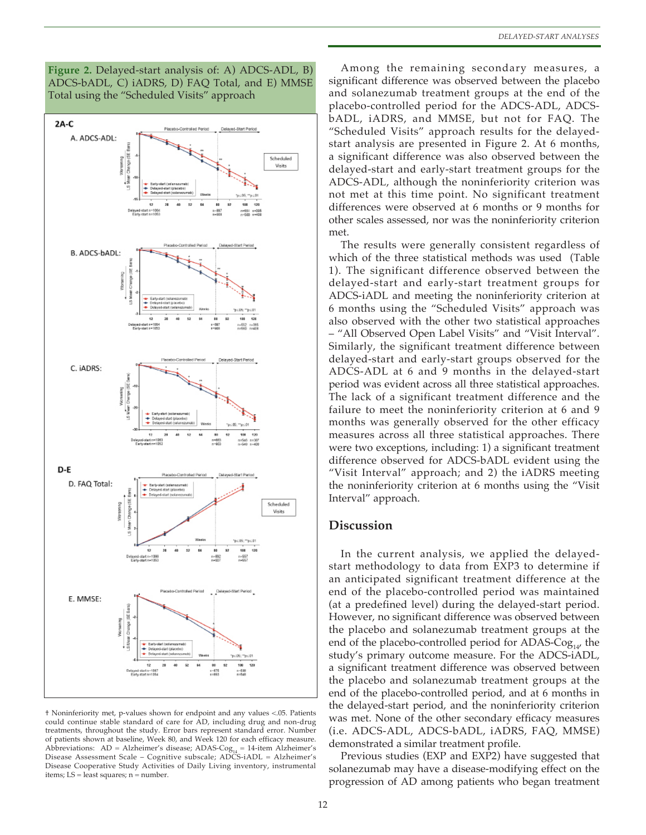



† Noninferiority met, p-values shown for endpoint and any values <.05. Patients could continue stable standard of care for AD, including drug and non-drug treatments, throughout the study. Error bars represent standard error. Number of patients shown at baseline, Week 80, and Week 120 for each efficacy measure. Abbreviations: AD = Alzheimer's disease; ADAS-Cog<sub>14</sub> = 14-item Alzheimer's<br>Disease Assessment Scale – Cognitive subscale; ADCS-iADL = Alzheimer's Disease Cooperative Study Activities of Daily Living inventory, instrumental items; LS = least squares; n = number.

Among the remaining secondary measures, a significant difference was observed between the placebo and solanezumab treatment groups at the end of the placebo-controlled period for the ADCS-ADL, ADCSbADL, iADRS, and MMSE, but not for FAQ. The "Scheduled Visits" approach results for the delayedstart analysis are presented in Figure 2. At 6 months, a significant difference was also observed between the delayed-start and early-start treatment groups for the ADCS-ADL, although the noninferiority criterion was not met at this time point. No significant treatment differences were observed at 6 months or 9 months for other scales assessed, nor was the noninferiority criterion met.

The results were generally consistent regardless of which of the three statistical methods was used (Table 1). The significant difference observed between the delayed-start and early-start treatment groups for ADCS-iADL and meeting the noninferiority criterion at 6 months using the "Scheduled Visits" approach was also observed with the other two statistical approaches – "All Observed Open Label Visits" and "Visit Interval". Similarly, the significant treatment difference between delayed-start and early-start groups observed for the ADCS-ADL at 6 and 9 months in the delayed-start period was evident across all three statistical approaches. The lack of a significant treatment difference and the failure to meet the noninferiority criterion at 6 and 9 months was generally observed for the other efficacy measures across all three statistical approaches. There were two exceptions, including: 1) a significant treatment difference observed for ADCS-bADL evident using the "Visit Interval" approach; and 2) the iADRS meeting the noninferiority criterion at 6 months using the "Visit Interval" approach.

## **Discussion**

In the current analysis, we applied the delayedstart methodology to data from EXP3 to determine if an anticipated significant treatment difference at the end of the placebo-controlled period was maintained (at a predefined level) during the delayed-start period. However, no significant difference was observed between the placebo and solanezumab treatment groups at the end of the placebo-controlled period for ADAS- $\text{Cog}_{14}$ , the study's primary outcome measure. For the ADCS-iADL, a significant treatment difference was observed between the placebo and solanezumab treatment groups at the end of the placebo-controlled period, and at 6 months in the delayed-start period, and the noninferiority criterion was met. None of the other secondary efficacy measures (i.e. ADCS-ADL, ADCS-bADL, iADRS, FAQ, MMSE) demonstrated a similar treatment profile.

Previous studies (EXP and EXP2) have suggested that solanezumab may have a disease-modifying effect on the progression of AD among patients who began treatment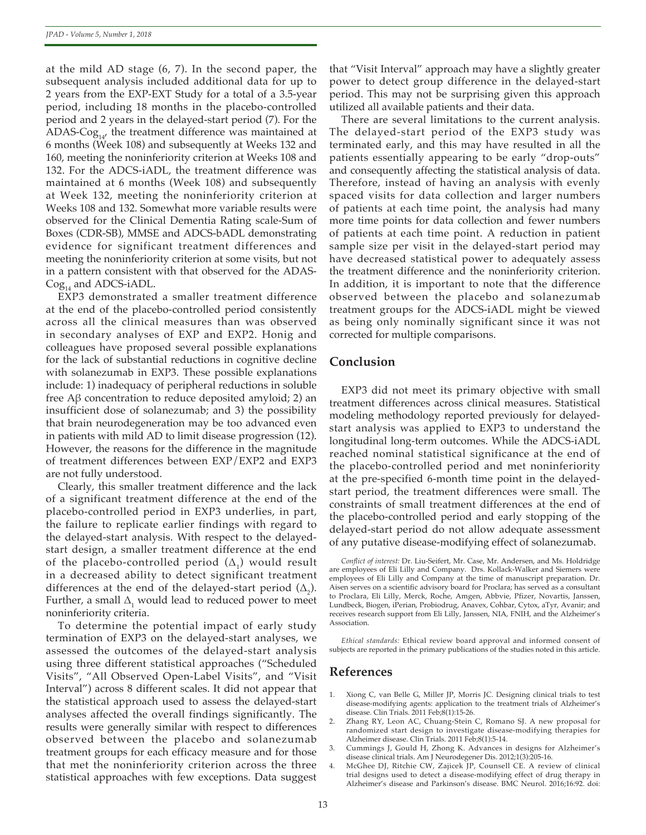at the mild AD stage (6, 7). In the second paper, the subsequent analysis included additional data for up to 2 years from the EXP-EXT Study for a total of a 3.5-year period, including 18 months in the placebo-controlled period and 2 years in the delayed-start period (7). For the ADAS- $\text{Cog}_{14}$ , the treatment difference was maintained at 6 months (Week 108) and subsequently at Weeks 132 and 160, meeting the noninferiority criterion at Weeks 108 and 132. For the ADCS-iADL, the treatment difference was maintained at 6 months (Week 108) and subsequently at Week 132, meeting the noninferiority criterion at Weeks 108 and 132. Somewhat more variable results were observed for the Clinical Dementia Rating scale-Sum of Boxes (CDR-SB), MMSE and ADCS-bADL demonstrating evidence for significant treatment differences and meeting the noninferiority criterion at some visits, but not in a pattern consistent with that observed for the ADAS- $\text{Cog}_{14}$  and ADCS-iADL.

EXP3 demonstrated a smaller treatment difference at the end of the placebo-controlled period consistently across all the clinical measures than was observed in secondary analyses of EXP and EXP2. Honig and colleagues have proposed several possible explanations for the lack of substantial reductions in cognitive decline with solanezumab in EXP3. These possible explanations include: 1) inadequacy of peripheral reductions in soluble free Aβ concentration to reduce deposited amyloid; 2) an insufficient dose of solanezumab; and 3) the possibility that brain neurodegeneration may be too advanced even in patients with mild AD to limit disease progression (12). However, the reasons for the difference in the magnitude of treatment differences between EXP/EXP2 and EXP3 are not fully understood.

Clearly, this smaller treatment difference and the lack of a significant treatment difference at the end of the placebo-controlled period in EXP3 underlies, in part, the failure to replicate earlier findings with regard to the delayed-start analysis. With respect to the delayedstart design, a smaller treatment difference at the end of the placebo-controlled period  $(\Delta_{1})$  would result in a decreased ability to detect significant treatment differences at the end of the delayed-start period  $(\Delta_2)$ . Further, a small  $\Delta_{1}$  would lead to reduced power to meet noninferiority criteria.

To determine the potential impact of early study termination of EXP3 on the delayed-start analyses, we assessed the outcomes of the delayed-start analysis using three different statistical approaches ("Scheduled Visits", "All Observed Open-Label Visits", and "Visit Interval") across 8 different scales. It did not appear that the statistical approach used to assess the delayed-start analyses affected the overall findings significantly. The results were generally similar with respect to differences observed between the placebo and solanezumab treatment groups for each efficacy measure and for those that met the noninferiority criterion across the three statistical approaches with few exceptions. Data suggest

that "Visit Interval" approach may have a slightly greater power to detect group difference in the delayed-start period. This may not be surprising given this approach utilized all available patients and their data.

There are several limitations to the current analysis. The delayed-start period of the EXP3 study was terminated early, and this may have resulted in all the patients essentially appearing to be early "drop-outs" and consequently affecting the statistical analysis of data. Therefore, instead of having an analysis with evenly spaced visits for data collection and larger numbers of patients at each time point, the analysis had many more time points for data collection and fewer numbers of patients at each time point. A reduction in patient sample size per visit in the delayed-start period may have decreased statistical power to adequately assess the treatment difference and the noninferiority criterion. In addition, it is important to note that the difference observed between the placebo and solanezumab treatment groups for the ADCS-iADL might be viewed as being only nominally significant since it was not corrected for multiple comparisons.

## **Conclusion**

EXP3 did not meet its primary objective with small treatment differences across clinical measures. Statistical modeling methodology reported previously for delayedstart analysis was applied to EXP3 to understand the longitudinal long-term outcomes. While the ADCS-iADL reached nominal statistical significance at the end of the placebo-controlled period and met noninferiority at the pre-specified 6-month time point in the delayedstart period, the treatment differences were small. The constraints of small treatment differences at the end of the placebo-controlled period and early stopping of the delayed-start period do not allow adequate assessment of any putative disease-modifying effect of solanezumab.

*Conflict of interest:* Dr. Liu-Seifert, Mr. Case, Mr. Andersen, and Ms. Holdridge are employees of Eli Lilly and Company. Drs. Kollack-Walker and Siemers were employees of Eli Lilly and Company at the time of manuscript preparation. Dr. Aisen serves on a scientific advisory board for Proclara; has served as a consultant to Proclara, Eli Lilly, Merck, Roche, Amgen, Abbvie, Pfizer, Novartis, Janssen, Lundbeck, Biogen, iPerian, Probiodrug, Anavex, Cohbar, Cytox, aTyr, Avanir; and receives research support from Eli Lilly, Janssen, NIA, FNIH, and the Alzheimer's Association.

*Ethical standards:* Ethical review board approval and informed consent of subjects are reported in the primary publications of the studies noted in this article.

### **References**

- 1. Xiong C, van Belle G, Miller JP, Morris JC. Designing clinical trials to test disease-modifying agents: application to the treatment trials of Alzheimer's disease. Clin Trials. 2011 Feb;8(1):15-26.
- 2. Zhang RY, Leon AC, Chuang-Stein C, Romano SJ. A new proposal for randomized start design to investigate disease-modifying therapies for Alzheimer disease. Clin Trials. 2011 Feb;8(1):5-14.
- 3. Cummings J, Gould H, Zhong K. Advances in designs for Alzheimer's disease clinical trials. Am J Neurodegener Dis. 2012;1(3):205-16.
- 4. McGhee DJ, Ritchie CW, Zajicek JP, Counsell CE. A review of clinical trial designs used to detect a disease-modifying effect of drug therapy in Alzheimer's disease and Parkinson's disease. BMC Neurol. 2016;16:92. doi: